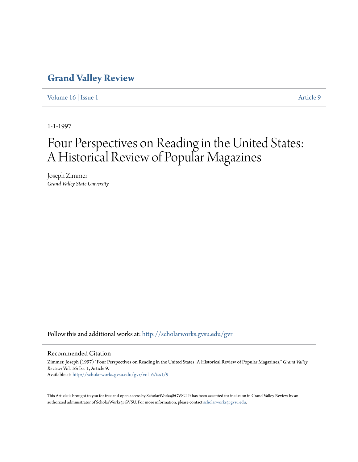## **[Grand Valley Review](http://scholarworks.gvsu.edu/gvr?utm_source=scholarworks.gvsu.edu%2Fgvr%2Fvol16%2Fiss1%2F9&utm_medium=PDF&utm_campaign=PDFCoverPages)**

[Volume 16](http://scholarworks.gvsu.edu/gvr/vol16?utm_source=scholarworks.gvsu.edu%2Fgvr%2Fvol16%2Fiss1%2F9&utm_medium=PDF&utm_campaign=PDFCoverPages) | [Issue 1](http://scholarworks.gvsu.edu/gvr/vol16/iss1?utm_source=scholarworks.gvsu.edu%2Fgvr%2Fvol16%2Fiss1%2F9&utm_medium=PDF&utm_campaign=PDFCoverPages) [Article 9](http://scholarworks.gvsu.edu/gvr/vol16/iss1/9?utm_source=scholarworks.gvsu.edu%2Fgvr%2Fvol16%2Fiss1%2F9&utm_medium=PDF&utm_campaign=PDFCoverPages)

1-1-1997

# Four Perspectives on Reading in the United States: A Historical Review of Popular Magazines

Joseph Zimmer *Grand Valley State University*

Follow this and additional works at: [http://scholarworks.gvsu.edu/gvr](http://scholarworks.gvsu.edu/gvr?utm_source=scholarworks.gvsu.edu%2Fgvr%2Fvol16%2Fiss1%2F9&utm_medium=PDF&utm_campaign=PDFCoverPages)

#### Recommended Citation

Zimmer, Joseph (1997) "Four Perspectives on Reading in the United States: A Historical Review of Popular Magazines," *Grand Valley Review*: Vol. 16: Iss. 1, Article 9. Available at: [http://scholarworks.gvsu.edu/gvr/vol16/iss1/9](http://scholarworks.gvsu.edu/gvr/vol16/iss1/9?utm_source=scholarworks.gvsu.edu%2Fgvr%2Fvol16%2Fiss1%2F9&utm_medium=PDF&utm_campaign=PDFCoverPages)

This Article is brought to you for free and open access by ScholarWorks@GVSU. It has been accepted for inclusion in Grand Valley Review by an authorized administrator of ScholarWorks@GVSU. For more information, please contact [scholarworks@gvsu.edu.](mailto:scholarworks@gvsu.edu)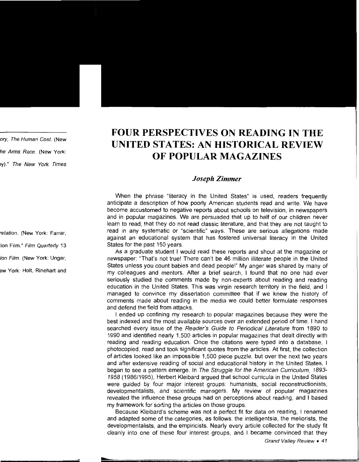## **FOUR PERSPECTIVES ON READING IN THE UNITED STATES: AN HISTORICAL REVIEW OF POPULAR MAGAZINES**

### *Joseph Zimmer*

When the phrase "literacy in the United States" is used, readers frequently anticipate a description of how poorly American students read and write. We have become accustomed to negative reports about schools on television, in newspapers and in popular magazines. We are persuaded that up to half of our children never learn to read, that they do not read classic literature, and that they are not taught to read in any systematic or "scientific" ways. These are serious allegations made against an educational system that has fostered universal literacy in the United States for the past 150 years.

As a graduate student I would read these reports and shout at the magazine or newspaper: "That's not true! There can't be 46 million illiterate people in the United States unless you count babies and dead people!" My anger was shared by many of my colleagues and mentors. After a brief search, I found that no one had ever seriously studied the comments made by non-experts about reading and reading education in the United States. This was virgin research territory in the field, and I managed to convince my dissertation committee that if we knew the history of comments made about reading in the media we could better formulate responses and defend the field from attacks.

I ended up confining my research to popular magazines because they were the best indexed and the most available sources over an extended period of time. I hand searched every issue of the Reader's Guide to Periodical Literature from 1890 to 1990 and identified nearly 1,500 articles in popular magazines that dealt directly with reading and reading education. Once the citations were typed into a database, I photocopied, read and took significant quotes from the articles. At first, the collection of articles looked like an impossible 1,500 piece puzzle, but over the next two years and after extensive reading of social and educational history in the United States, I began to see a pattern emerge. In The Struggle for the American Curriculum, 1893- 1958 (1986/1995), Herbert Kleibard argued that school curricula in the United States were guided by four major interest groups: humanists, social reconstructionists, developmentalists, and scientific managers. My review of popular magazines revealed the influence these groups had on perceptions about reading, and I based my framework for sorting the articles on those groups.

Because Kleibard's scheme was not a perfect fit for data on reading, I renamed and adapted some of the categories, as follows: the intelligentsia, the meliorists, the developmentalists, and the empiricists. Nearly every article collected for the study fit cleanly into one of these four interest groups, and I became convinced that they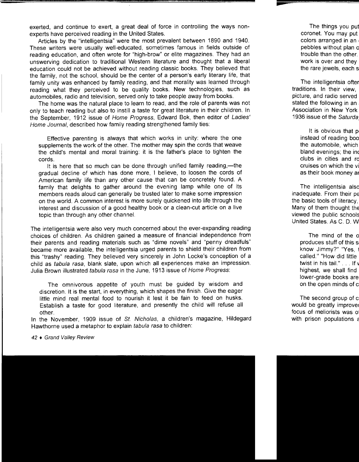exerted, and continue to exert, a great deal of force in controlling the ways nonexperts have perceived reading in the United States.

Articles by the "intelligentsia" were the most prevalent between 1890 and 1940. These writers were usually well-educated, sometimes famous in fields outside of reading education, and often wrote for "high-brow" or elite magazines. They had an unswerving dedication to traditional Western literature and thought that a liberal education could not be achieved without reading classic books. They believed that the family, not the school, should be the center of a person's early literary life, that family unity was enhanced by family reading, and that morality was learned through reading what they perceived to be quality books. New technologies, such as automobiles, radio and television, served only to take people away from books.

The home was the natural place to learn to read, and the role of parents was not only to teach reading but also to instill a taste for great literature in their children. In the September, 1912 issue of Home Progress, Edward Bok, then editor of Ladies' Home Journal, described how family reading strengthened family ties:

Effective parenting is always that which works in unity: where the one supplements the work of the other. The mother may spin the cords that weave the child's mental and moral training: it is the father's place to tighten the cords.

It is here that so much can be done through unified family reading,—the gradual decline of which has done more, I believe, to loosen the cords of American family life than any other cause that can be concretely found. A family that delights to gather around the evening lamp while one of its members reads aloud can generally be trusted later to make some impression on the world. A common interest is more surely quickened into life through the interest and discussion of a good healthy book or a clean-cut article on a live topic than through any other channel.

The intelligentsia were also very much concerned about the ever-expanding reading choices of children. As children gained a measure of financial independence from their parents and reading materials such as "dime novels" and "penny dreadfuls" became more available, the intelligentsia urged parents to shield their children from this "trashy" reading. They believed very sincerely in John Locke's conception of a child as tabula rasa, blank slate, upon which all experiences make an impression. Julia Brown illustrated tabula rasa in the June, 1913 issue of Home Progress:

The omnivorous appetite of youth must be guided by wisdom and discretion. It is the start, in everything, which shapes the finish. Give the eager little mind real mental food to nourish it lest it be fain to feed on husks. Establish a taste for good literature, and presently the child will refuse all other.

In the November, 1909 issue of St. Nicholas, a children's magazine, Hildegard Hawthorne used a metaphor to explain tabula rasa to children: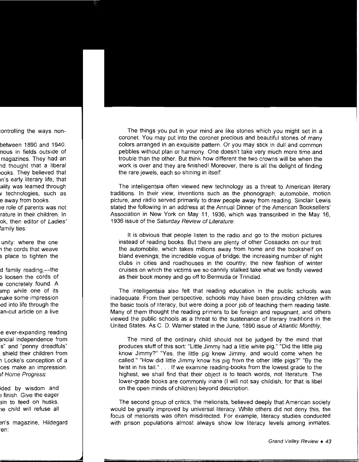The things you put in your mind are like stones which you might set in a coronet. You may put into the coronet precious and beautiful stones of many colors arranged in an exquisite pattern. Or you may stick in dull and common pebbles without plan or harmony. One doesn't take very much more time and trouble than the other. But think how different the two crowns will be when the work is over and they are finished! Moreover, there is all the delight of finding the rare jewels, each so shining in itself.

The intelligentsia often viewed new technology as a threat to American literary traditions. In their view, inventions such as the phonograph, automobile, motion picture, and radio served primarily to draw people away from reading. Sinclair Lewis stated the following in an address at the Annual Dinner of the American Booksellers' Association in New York on May 11, 1936, which was transcribed in the May 16, 1936 issue of the Saturday Review of Literature:

It is obvious that people listen to the radio and go to the motion pictures instead of reading books. But there are plenty of other Cossacks on our trail: the automobile, which takes millions away from home and the bookshelf on bland evenings; the incredible vogue of bridge; the increasing number of night clubs in cities and roadhouses in the country; the new fashion of winter cruises on which the victims we so cannily stalked take what we fondly viewed as their book money and go off to Bermuda or Trinidad.

The intelligentsia also felt that reading education in the public schools was inadequate. From their perspective, schools may have been providing children with the basic tools of literacy, but were doing a poor job of teaching them reading taste. Many of them thought the reading primers to be foreign and repugnant, and others viewed the public schools as a threat to the sustenance of literary traditions in the United States. As C. D. Warner stated in the June, 1890 issue of Atlantic Monthly,

The mind of the ordinary child should not be judged by the mind that produces stuff of this sort: "Little Jimmy had a little white pig." "Did the little pig know Jimmy?" "Yes, the little pig knew Jimmy, and would come when he called." "How did little Jimmy know his pig from the other little pigs?" "By the twist in his tail." ... If we examine reading-books from the lowest grade to the highest, we shall find that their object is to teach words, not literature. The lower-grade books are commonly inane (I will not say childish, for that is libel on the open minds of children) beyond description.

The second group of critics, the meliorists, believed deeply that American society would be greatly improved by universal literacy. While others did not deny this, the focus of meliorists was often misdirected. For example, literacy studies conducted with prison populations almost always show low literacy levels among inmates.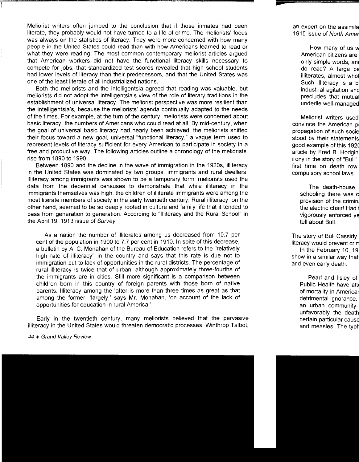Meliorist writers often jumped to the conclusion that if those inmates had been literate, they probably would not have turned to a life of crime. The meliorists' focus was always on the statistics of literacy. They were more concerned with how many people in the United States could read than with how Americans learned to read or what they were reading. The most common contemporary meliorist articles argued that American workers did not have the functional literacy skills necessary to compete for jobs, that standardized test scores revealed that high school students had lower levels of literacy than their predecessors, and that the United States was one of the least literate of all industrialized nations.

Both the meliorists and the intelligentsia agreed that reading was valuable, but meliorists did not adopt the intelligentsia's view of the role of literary traditions in the establishment of universal literacy. The meliorist perspective was more resilient than the intelligentsia's, because the meliorists' agenda continually adapted to the needs of the times. For example, at the turn of the century, meliorists were concerned about basic literacy, the numbers of Americans who could read at all. By mid-century, when the goal of universal basic literacy had nearly been achieved, the meliorists shifted their focus toward a new goal, universal "functional literacy," a vague term used to represent levels of literacy sufficient for every American to participate in society in a free and productive way. The following articles outline a chronology of the meliorists' rise from 1890 to 1990.

Between 1890 and the decline in the wave of immigration in the 1920s, illiteracy in the United States was dominated by two groups: immigrants and rural dwellers. Illiteracy among immigrants was shown to be a temporary form: meliorists used the data from the decennial censuses to demonstrate that while illiteracy in the immigrants themselves was high, the children of illiterate immigrants were among the most literate members of society in the early twentieth century. Rural illiteracy, on the other hand, seemed to be so deeply rooted in culture and family life that it tended to pass from generation to generation. According to "Illiteracy and the Rural School" in the April 19, 1913 issue of Survey,

As a nation the number of illiterates among us decreased from 10.7 per cent of the population in 1900 to 7.7 per cent in 1910. In spite of this decrease, a bulletin by A. C. Monahan of the Bureau of Education refers to the "relatively high rate of illiteracy" in the country and says that this rate is due not to immigration but to lack of opportunities in the rural districts. The percentage of rural illiteracy is twice that of urban, although approximately three-fourths of the immigrants are in cities. Still more significant is a comparison between children born in this country of foreign parents with those born of native parents. Illiteracy among the latter is more than three times as great as that among the former, 'largely,' says Mr. Monahan, 'on account of the lack of opportunities for education in rural America.'

Early in the twentieth century, many meliorists believed that the pervasive illiteracy in the United States would threaten democratic processes. Winthrop Talbot,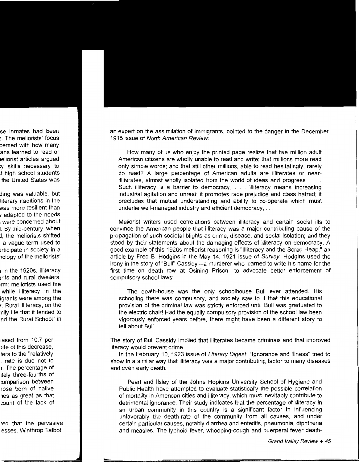an expert on the assimilation of immigrants, pointed to the danger in the December, 1915 issue of North American Review:

How many of us who enjoy the printed page realize that five million adult American citizens are wholly unable to read and write; that millions more read only simple words; and that still other millions, able to read hesitatingly, rarely do read? A large percentage of American adults are illiterates or nearilliterates, almost wholly isolated from the world of ideas and progress . . . . Such illiteracy is a barrier to democracy. . . . Illiteracy means increasing industrial agitation and unrest; it promotes race prejudice and class hatred; it precludes that mutual understanding and ability to co-operate which must underlie well-managed industry and efficient democracy; ...

Meliorist writers used correlations between illiteracy and certain social ills to convince the American people that illiteracy was a major contributing cause of the propagation of such societal blights as crime, disease, and social isolation; and they stood by their statements about the damaging effects of illiteracy on democracy. A good example of this 1920s meliorist reasoning is "Illiteracy and the Scrap Heap," an article by Fred B. Hodgins in the May 14, 1921 issue of Survey. Hodgins used the irony in the story of "Bull" Cassidy-a murderer who learned to write his name for the first time on death row at Osining Prison-to advocate better enforcement of compulsory school laws:

The death-house was the only schoolhouse Bull ever attended. His schooling there was compulsory, and society saw to it that this educational provision of the criminal law was strictly enforced until Bull was graduated to the electric chair! Had the equally compulsory provision of the school law been vigorously enforced years before, there might have been a different story to tell about Bull.

The story of Bull Cassidy implied that illiterates became criminals and that improved literacy would prevent crime.

In the February 10, 1923 issue of Literary Digest, "Ignorance and Illness" tried to show in a similar way that illiteracy was a major contributing factor to many diseases and even early death:

Pearl and llsley of the Johns Hopkins University School of Hygiene and Public Health have attempted to evaluate statistically the possible correlation of mortality in American cities and illiteracy, which must inevitably contribute to detrimental ignorance. Their study indicates that the percentage of illiteracy in an urban community in this country is a significant factor in influencing unfavorably the death-rate of the community from all causes, and under certain particular causes, notably diarrhea and enteritis, pneumonia, diphtheria and measles. The typhoid fever, whooping-cough and puerperal fever death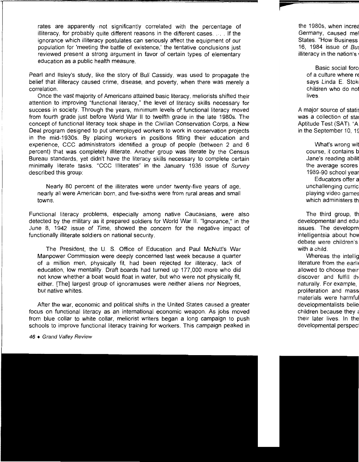rates are apparently ·not significantly correlated with the percentage of illiteracy, for probably quite different reasons in the different cases .... If the ignorance which illiteracy postulates can seriously affect the equipment of our population for 'meeting the battle of existence,' the tentative conclusions just reviewed present a strong argument in favor of certain types of elementary education as a public health measure.

Pearl and Ilsley's study, like the story of Bull Cassidy, was used to propagate the belief that illiteracy caused crime, disease, and poverty, when there was merely a correlation.

Once the vast majority of Americans attained basic literacy, meliorists shifted their attention to improving "functional literacy,'' the level of literacy skills necessary for success in society. Through the years, minimum levels of functional literacy moved from fourth grade just before World War II to twelfth grade in the late 1980s. The concept of functional literacy took shape in the Civilian Conservation Corps, a New Deal program designed to put unemployed workers to work in conservation projects in the mid-1930s. By placing workers in positions fitting their education and experience, CCC administrators identified a group of people (between 2 and 6 percent) that was completely illiterate. Another group was literate by the Census Bureau standards, yet didn't have the literacy skills necessary to complete certain minimally literate tasks. "CCC Illiterates" in the January 1936 issue of Survey described this group:

Nearly 80 percent of the illiterates were under twenty-five years of age, nearly all were American born, and five-sixths were from rural areas and small towns.

Functional literacy problems, especially among native Caucasians, were also detected by the military as it prepared soldiers for World War II. "Ignorance," in the June 8, 1942 issue of Time, showed the concern for the negative impact of functionally illiterate soldiers on national security.

The President, the U. S. Office of Education and Paul McNutt's War Manpower Commission were deeply concerned last week because a quarter of a million men, physically fit, had been rejected for illiteracy, lack of education, low mentality. Draft boards had turned up 177,000 more who did not know whether a boat would float in water, but who were not physically fit, either. [The] largest group of ignoramuses were neither aliens nor Negroes, but native whites.

After the war, economic and political shifts in the United States caused a greater focus on functional literacy as an international economic weapon. As jobs moved from blue collar to white collar, meliorist writers began a long campaign to push schools to improve functional literacy training for workers. This campaign peaked in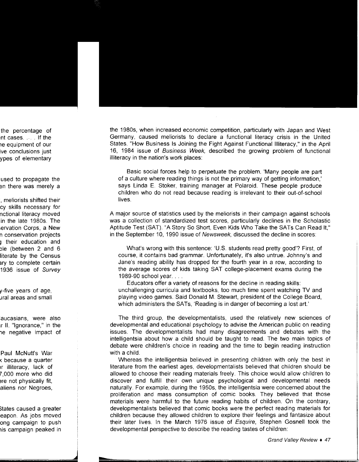the 1980s, when increased economic competition, particularly with Japan and West Germany, caused meliorists to declare a functional literacy crisis in the United States. "How Business Is Joining the Fight Against Functional Illiteracy," in the April 16, 1984 issue of Business Week, described the growing problem of functional illiteracy in the nation's work places:

Basic social forces help to perpetuate the problem. 'Many people are part of a culture where reading things is not the primary way of getting information,' says Linda E. Stoker, training manager at Polaroid. These people produce children who do not read because reading is irrelevant to their out-of-school lives.

A major source of statistics used by the meliorists in their campaign against schools was a collection of standardized test scores, particularly declines in the Scholastic Aptitude Test (SAT). "A Story So Short, Even Kids Who Take the SATs Can Read It,'' in the September 10, 1990 issue of Newsweek, discussed the decline in scores:

What's wrong with this sentence: 'U.S. students read pretty good'? First, of course, it contains bad grammar. Unfortunately, it's also untrue. Johnny's and Jane's reading ability has dropped for the fourth year in a row, according to the average scores of kids taking SAT college-placement exams during the 1989-90 school year ....

Educators offer a variety of reasons for the decline in reading skills: unchallenging curricula and textbooks, too much time spent watching TV and playing video games. Said Donald M. Stewart, president of the College Board, which administers the SATs, 'Reading is in danger of becoming a lost art.'

The third group, the developmentalists, used the relatively new sciences of developmental and educational psychology to advise the American public on reading issues. The developmentalists had many disagreements and debates with the intelligentsia about how a child should be taught to read. The two main topics of debate were children's choice in reading and the time to begin reading instruction with a child.

Whereas the intelligentsia believed in presenting children with only the best in literature from the earliest ages, developmentalists believed that children should be allowed to choose their reading materials freely. This choice would allow children to discover and fulfill their own unique psychological and developmental needs naturally. For example, during the 1950s, the intelligentsia were concerned about the proliferation and mass consumption of comic books. They believed that those materials were harmful to the future reading habits of children. On the contrary, developmentalists believed that comic books were the perfect reading materials for children because they allowed children to explore their feelings and fantasize about their later lives. In the March 1976 issue of Esquire, Stephen Gosnell took the developmental perspective to describe the reading tastes of children: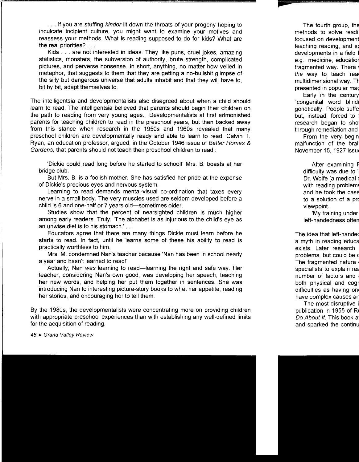... if you are stuffing kinder-lit down the throats of your progeny hoping to inculcate incipient culture, you might want to examine your motives and reassess your methods. What is reading supposed to do for kids? What are the real priorities? . . .

Kids ... are not interested in ideas. They like puns, cruel jokes, amazing statistics, monsters, the subversion of authority, brute strength, complicated pictures, and perverse nonsense. In short, anything, no matter how veiled in metaphor, that suggests to them that they are getting a no-bullshit glimpse of the silly but dangerous universe that adults inhabit and that they will have to, bit by bit, adapt themselves to.

The intelligentsia and developmentalists also disagreed about when a child should learn to read. The intelligentsia believed that parents should begin their children on the path to reading from very young ages. Developmentalists at first admonished parents for teaching children to read in the preschool years, but then backed away from this stance when research in the 1950s and 1960s revealed that many preschool children are developmentally ready and able to learn to read. Calvin T. Ryan, an education professor, argued, in the October 1946 issue of Better Homes & Gardens, that parents should not teach their preschool children to read :

'Dickie could read long before he started to school!' Mrs. B. boasts at her bridge club.

But Mrs. B. is a foolish mother. She has satisfied her pride at the expense of Dickie's precious eyes and nervous system.

Learning to read demands mental-visual co-ordination that taxes every nerve in a small body. The very muscles used are seldom developed before a child is 6 and one-half or 7 years old—sometimes older.

Studies show that the percent of nearsighted children is much higher among early readers. Truly, 'The alphabet is as injurious to the child's eye as an unwise diet is to his stomach.' ...

Educators agree that there are many things Dickie must learn before he starts to read. In fact, until he learns some of these his ability to read is practically worthless to him.

Mrs. M. condemned Nan's teacher because 'Nan has been in school nearly a year and hasn't learned to read!'

Actually, Nan was learning to read—learning the right and safe way. Her teacher, considering Nan's own good, was developing her speech, teaching her new words, and helping her put them together in sentences. She was introducing Nan to interesting picture-story books to whet her appetite, reading her stories, and encouraging her to tell them.

By the 1980s, the developmentalists were concentrating more on providing children with appropriate preschool experiences than with establishing any well-defined limits for the acquisition of reading.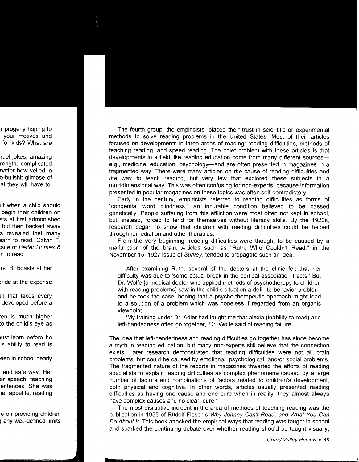The fourth group, the empiricists, placed their trust in scientific or experimental methods to solve reading problems in the United States. Most of their articles focused on developments in three areas of reading: reading difficulties, methods of teaching reading, and speed reading. The chief problem with these articles is that developments in a field like reading education come from many different sourcese.g., medicine, education, psychology-and are often presented in magazines in a fragmented way. There were many articles on the cause of reading difficulties and the way to teach reading, but very few that explored these subjects in a multidimensional way. This was often confusing for non-experts, because information presented in popular magazines on these topics was often self-contradictory.

Early in the century, empiricists referred to reading difficulties as forms of "congenital word blindness," an incurable condition believed to be passed genetically. People suffering from this affliction were most often not kept in school, but, instead, forced to fend for themselves without literacy skills. By the 1920s, research began to show that children with reading difficulties could be helped through remediation and other therapies.

From the very beginning, reading difficulties were thought to be caused by a malfunction of the brain. Articles such as "Ruth, Who Couldn't Read," in the November 15, 1927 issue of Survey, tended to propagate such an idea:

After examining Ruth, several of the doctors at the clinic felt that her difficulty was due to 'some actual break in the cortical association tracts.' But Dr. Wolfe [a medical doctor who applied methods of psychotherapy to children with reading problems] saw in the child's situation a definite behavior problem, and he took the case, hoping that a psycho-therapeutic approach might lead to a solution of a problem which was hopeless if regarded from an organic viewpoint.

'My training under Dr. Adler had taught me that alexia (inability to read) and left-handedness often go together,' Dr. Wolfe said of reading failure.

The idea that left-handedness and reading difficulties go together has since become a myth in reading education, but many non-experts still believe that the connection exists. Later research demonstrated that reading difficulties were not all brain problems, but could be caused by emotional, psychological, and/or social problems. The fragmented nature of the reports in magazines thwarted the efforts of reading specialists to explain reading difficulties as complex phenomena caused by a large number of factors and combinations of factors related to children's development, both physical and cognitive. In other words, articles usually presented reading difficulties as having one cause and one cure when in reality, they almost always have complex causes and no clear "cure."

The most disruptive incident in the area of methods of teaching reading was the publication in 1955 of Rudolf Flesch's Why Johnny Can't Read, and What You Can Do About It. This book attacked the empirical ways that reading was taught in school and sparked the continuing debate over whether reading should be taught visually,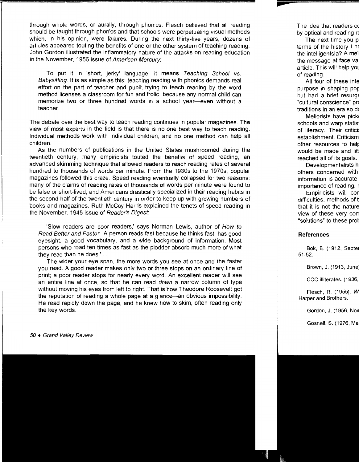through whole words, or aurally, through phonics. Flesch believed that all reading should be taught through phonics and that schools were perpetuating visual methods which, in his opinion, were failures. During the next thirty-five years, dozens of articles appeared touting the benefits of one or the other system of teaching reading. John Gordon illustrated the inflammatory nature of the attacks on reading education in the November, 1956 issue of American Mercury:

To put it in 'short, jerky' language, it means Teaching School vs. Babysitting. It is as simple as this: teaching reading with phonics demands real effort on the part of teacher and pupil; trying to teach reading by the word method licenses a classroom for fun and frolic, because any normal child can memorize two or three hundred words in a school year-even without a teacher.

The debate over the best way to teach reading continues in popular magazines. The view of most experts in the field is that there is no one best way to teach reading. Individual methods work with individual children, and no one method can help all children.

As the numbers of publications in the United States mushroomed during the twentieth century, many empiricists touted the benefits of speed reading, an advanced skimming technique that allowed readers to reach reading rates of several hundred to thousands of words per minute. From the 1930s to the 1970s, popular magazines followed this craze. Speed reading eventually collapsed for two reasons: many of the claims of reading rates of thousands of words per minute were found to be false or short-lived; and Americans drastically specialized in their reading habits in the second half of the twentieth century in order to keep up with growing numbers of books and magazines. Ruth McCoy Harris explained the tenets of speed reading in the November, 1945 issue of Reader's Digest:

'Slow readers are poor readers,' says Norman Lewis, author of How to Read Better and Faster. 'A person reads fast because he thinks fast, has good eyesight, a good vocabulary, and a wide background of information. Most persons who read ten times as fast as the plodder absorb much more of what they read than he does.' ...

The wider your eye span, the more words you see at once and the faster you read. A good reader makes only two or three stops on an ordinary line of print; a poor reader stops for nearly every word. An excellent reader will see an entire line at once, so that he can read down a narrow column of type without moving his eyes from left to right. That is how Theodore Roosevelt got the reputation of reading a whole page at a glance-an obvious impossibility. He read rapidly down the page, and he knew how to skim, often reading only the key words.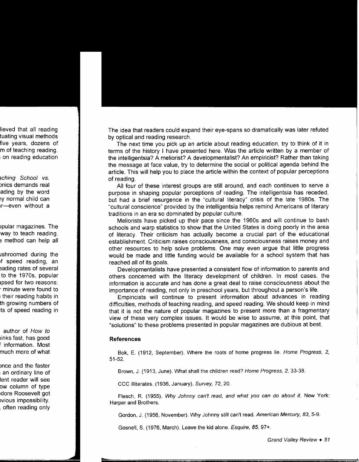The idea that readers could expand their eye-spans so dramatically was later refuted by optical and reading research.

The next time you pick up an article about reading education, try to think of it in terms of the history I have presented here. Was the article written by a member of the intelligentsia? A meliorist? A developmentalist? An empiricist? Rather than taking the message at face value, try to determine the social or political agenda behind the article. This will help you to place the article within the context of popular perceptions of reading.

All four of these interest groups are still around, and each continues to serve a purpose in shaping popular perceptions of reading. The intelligentsia has receded, but had a brief resurgence in the "cultural literacy" crisis of the late 1980s. The "cultural conscience" provided by the intelligentsia helps remind Americans of literary traditions in an era so dominated by popular culture.

Meliorists have picked up their pace since the 1960s and will continue to bash schools and warp statistics to show that the United States is doing poorly in the area of literacy. Their criticism has actually become a crucial part of the educational establishment. Criticism raises consciousness, and consciousness raises money and other resources to help solve problems. One may even argue that little progress would be made and little funding would be available for a school system that has reached all of its goals.

Developmentalists have presented a consistent flow of information to parents and others concerned with the literacy development of children. In most cases, the information is accurate and has done a great deal to raise consciousness about the importance of reading, not only in preschool years, but throughout a person's life.

Empiricists will continue to present information about advances in reading difficulties, methods of teaching reading, and speed reading. We should keep in mind that it is not the nature of popular magazines to present more than a fragmentary view of these very complex issues. It would be wise to assume, at this point, that "solutions" to these problems presented in popular magazines are dubious at best.

#### **References**

Bok, E. (1912, September). Where the roots of home progress lie. Home Progress, 2, 51-52.

Brown, J. (1913, June). What shall the children read? Home Progress, 2, 33-38.

CCC illiterates. (1936, January). Survey, 72, 20.

Flesch, R. (1955). Why Johnny can't read, and what you can do about it. New York: Harper and Brothers.

Gordon, J. (1956, November). Why Johnny still can't read. American Mercury, 83, 5-9.

Gosnell, S. (1976, March). Leave the kid alone. Esquire, 85, 97+.